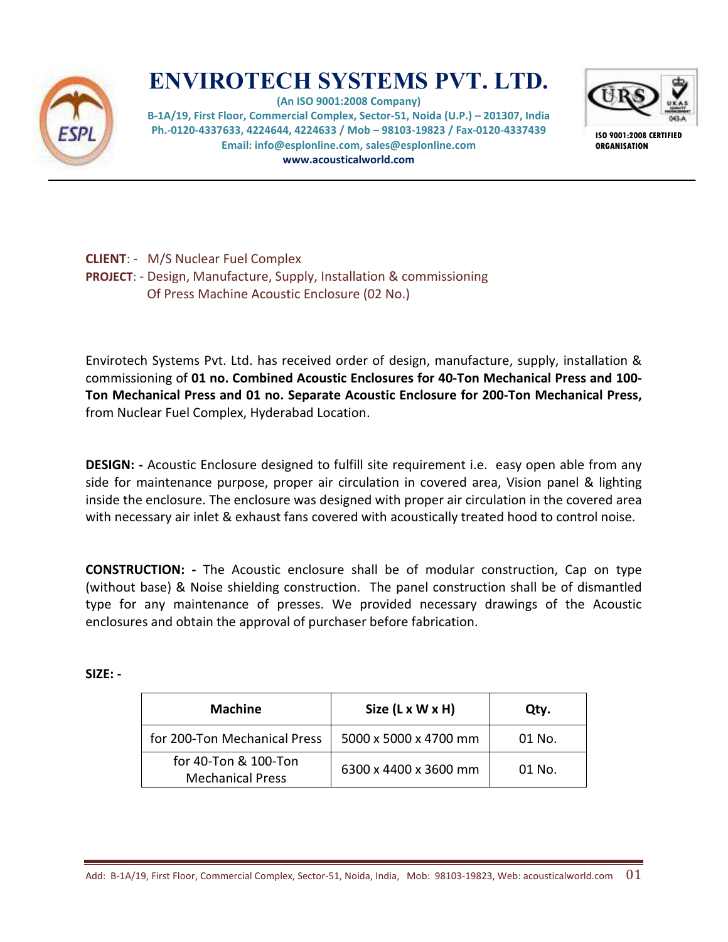

## **ENVIROTECH SYSTEMS PVT. LTD.**

**(An ISO 9001:2008 Company) B-1A/19, First Floor, Commercial Complex, Sector-51, Noida (U.P.) – 201307, India Ph.-0120-4337633, 4224644, 4224633 / Mob – 98103-19823 / Fax-0120-4337439 Email: info@esplonline.com, sales@esplonline.com www.acousticalworld.com** 



**ISO 9001:2008 CERTIFIED ORGANISATION** 

**CLIENT**: - M/S Nuclear Fuel Complex **PROJECT**: - Design, Manufacture, Supply, Installation & commissioning Of Press Machine Acoustic Enclosure (02 No.)

Envirotech Systems Pvt. Ltd. has received order of design, manufacture, supply, installation & commissioning of **01 no. Combined Acoustic Enclosures for 40-Ton Mechanical Press and 100- Ton Mechanical Press and 01 no. Separate Acoustic Enclosure for 200-Ton Mechanical Press,** from Nuclear Fuel Complex, Hyderabad Location.

**DESIGN: -** Acoustic Enclosure designed to fulfill site requirement i.e. easy open able from any side for maintenance purpose, proper air circulation in covered area, Vision panel & lighting inside the enclosure. The enclosure was designed with proper air circulation in the covered area with necessary air inlet & exhaust fans covered with acoustically treated hood to control noise.

**CONSTRUCTION: -** The Acoustic enclosure shall be of modular construction, Cap on type (without base) & Noise shielding construction. The panel construction shall be of dismantled type for any maintenance of presses. We provided necessary drawings of the Acoustic enclosures and obtain the approval of purchaser before fabrication.

**SIZE: -** 

| <b>Machine</b>                                  | Size (L x W x H)      | Qtv.     |
|-------------------------------------------------|-----------------------|----------|
| for 200-Ton Mechanical Press                    | 5000 x 5000 x 4700 mm | 01 No.   |
| for 40-Ton & 100-Ton<br><b>Mechanical Press</b> | 6300 x 4400 x 3600 mm | $01$ No. |